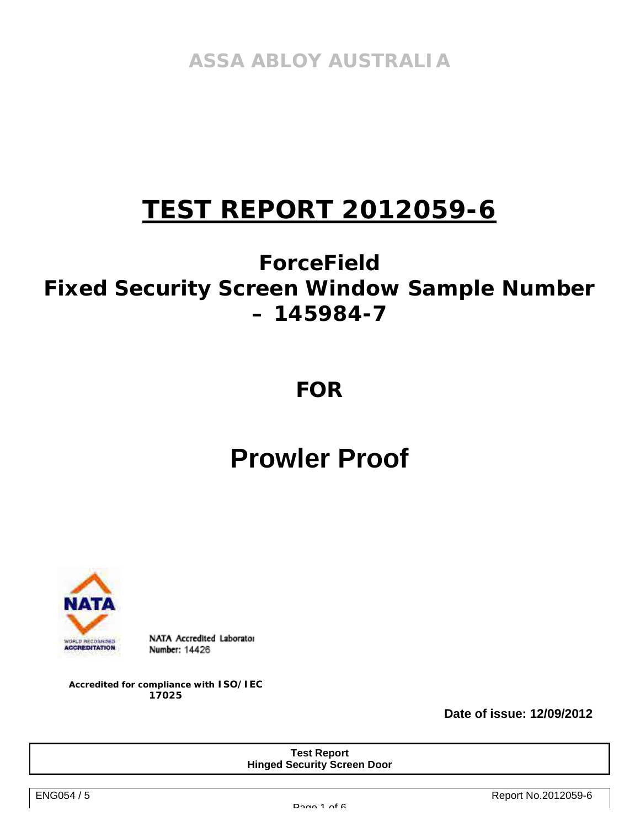**ASSA ABLOY AUSTRALIA** 

# **TEST REPORT 2012059-6**

# **ForceField Fixed Security Screen Window Sample Number – 145984-7**

## **FOR**

# **Prowler Proof**



NATA Accredited Laborator Number: 14426

**Accredited for compliance with ISO/IEC 17025** 

**Date of issue: 12/09/2012** 

**Test Report Hinged Security Screen Door**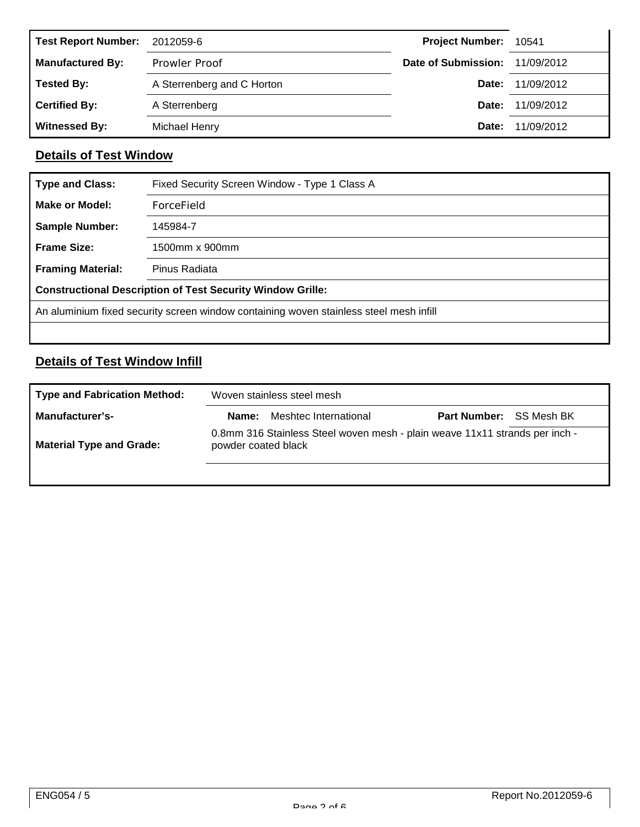| <b>Test Report Number:</b> | 2012059-6                  | Project Number: 10541          |                         |
|----------------------------|----------------------------|--------------------------------|-------------------------|
| <b>Manufactured By:</b>    | <b>Prowler Proof</b>       | Date of Submission: 11/09/2012 |                         |
| <b>Tested By:</b>          | A Sterrenberg and C Horton |                                | <b>Date:</b> 11/09/2012 |
| <b>Certified By:</b>       | A Sterrenberg              |                                | <b>Date: 11/09/2012</b> |
| <b>Witnessed By:</b>       | Michael Henry              | Date:                          | 11/09/2012              |

### **Details of Test Window**

| <b>Type and Class:</b>   | Fixed Security Screen Window - Type 1 Class A                                          |
|--------------------------|----------------------------------------------------------------------------------------|
| Make or Model:           | ForceField                                                                             |
| <b>Sample Number:</b>    | 145984-7                                                                               |
| <b>Frame Size:</b>       | 1500mm x 900mm                                                                         |
| <b>Framing Material:</b> | Pinus Radiata                                                                          |
|                          | <b>Constructional Description of Test Security Window Grille:</b>                      |
|                          | An aluminium fixed security screen window containing woven stainless steel mesh infill |
|                          |                                                                                        |

### **Details of Test Window Infill**

| <b>Type and Fabrication Method:</b> |                     | Woven stainless steel mesh                                                  |  |  |  |  |  |  |
|-------------------------------------|---------------------|-----------------------------------------------------------------------------|--|--|--|--|--|--|
| Manufacturer's-                     |                     | <b>Name:</b> Meshtec International<br><b>Part Number: SS Mesh BK</b>        |  |  |  |  |  |  |
| <b>Material Type and Grade:</b>     | powder coated black | 0.8mm 316 Stainless Steel woven mesh - plain weave 11x11 strands per inch - |  |  |  |  |  |  |
|                                     |                     |                                                                             |  |  |  |  |  |  |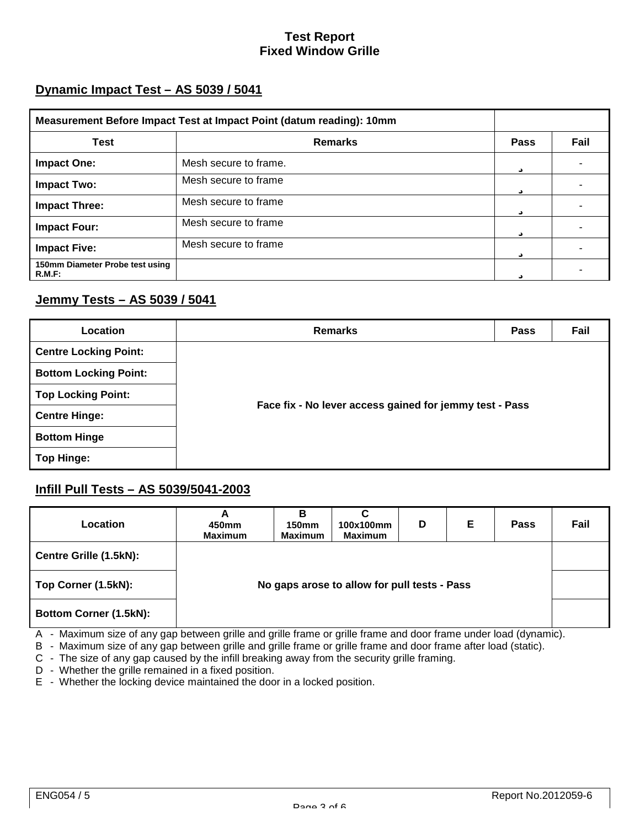### **Test Report Fixed Window Grille**

### **Dynamic Impact Test – AS 5039 / 5041**

| Measurement Before Impact Test at Impact Point (datum reading): 10mm |                       |                       |      |
|----------------------------------------------------------------------|-----------------------|-----------------------|------|
| Test                                                                 | <b>Remarks</b>        | Pass                  | Fail |
| <b>Impact One:</b>                                                   | Mesh secure to frame. | $\cdot \cdot$<br>Û    |      |
| <b>Impact Two:</b>                                                   | Mesh secure to frame  | ü                     |      |
| <b>Impact Three:</b>                                                 | Mesh secure to frame  | ü                     |      |
| <b>Impact Four:</b>                                                  | Mesh secure to frame  | $\bullet\bullet$<br>Û |      |
| <b>Impact Five:</b>                                                  | Mesh secure to frame  | Ü                     |      |
| 150mm Diameter Probe test using<br>R.M.F.                            |                       | $\cdot \cdot$         |      |

### **Jemmy Tests – AS 5039 / 5041**

| Location                     | <b>Remarks</b>                                          | <b>Pass</b> | Fail |  |  |  |  |
|------------------------------|---------------------------------------------------------|-------------|------|--|--|--|--|
| <b>Centre Locking Point:</b> |                                                         |             |      |  |  |  |  |
| <b>Bottom Locking Point:</b> |                                                         |             |      |  |  |  |  |
| <b>Top Locking Point:</b>    |                                                         |             |      |  |  |  |  |
| <b>Centre Hinge:</b>         | Face fix - No lever access gained for jemmy test - Pass |             |      |  |  |  |  |
| <b>Bottom Hinge</b>          |                                                         |             |      |  |  |  |  |
| Top Hinge:                   |                                                         |             |      |  |  |  |  |

#### **Infill Pull Tests – AS 5039/5041-2003**

| Location                      | A<br>450mm<br><b>Maximum</b> | в<br><b>150mm</b><br><b>Maximum</b>          | С<br>100x100mm<br><b>Maximum</b> | D | Е | <b>Pass</b> | Fail |  |
|-------------------------------|------------------------------|----------------------------------------------|----------------------------------|---|---|-------------|------|--|
| Centre Grille (1.5kN):        |                              |                                              |                                  |   |   |             |      |  |
| Top Corner (1.5kN):           |                              | No gaps arose to allow for pull tests - Pass |                                  |   |   |             |      |  |
| <b>Bottom Corner (1.5kN):</b> |                              |                                              |                                  |   |   |             |      |  |

- A Maximum size of any gap between grille and grille frame or grille frame and door frame under load (dynamic).
- B Maximum size of any gap between grille and grille frame or grille frame and door frame after load (static).
- C The size of any gap caused by the infill breaking away from the security grille framing.
- D Whether the grille remained in a fixed position.
- E Whether the locking device maintained the door in a locked position.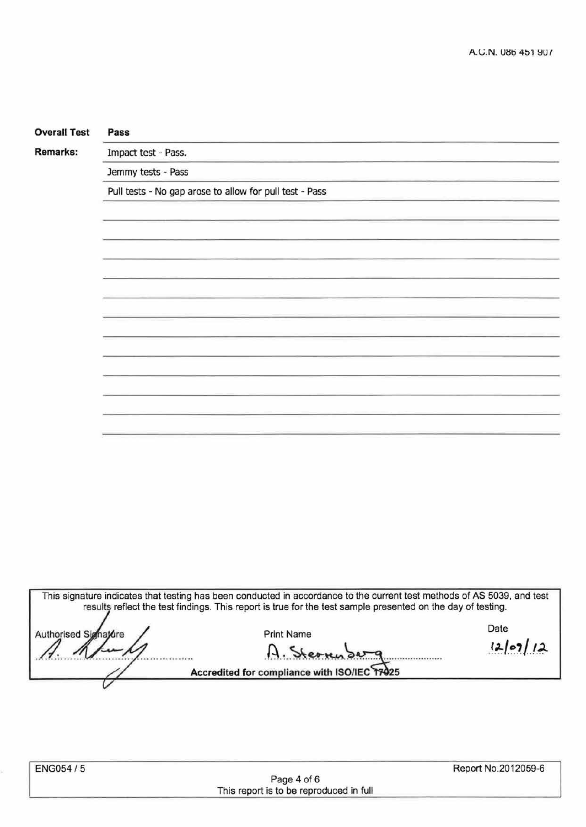| <b>Overall Test</b> | Pass                                                                                                                    |  |  |  |  |  |  |  |  |
|---------------------|-------------------------------------------------------------------------------------------------------------------------|--|--|--|--|--|--|--|--|
| Remarks:            | Impact test - Pass.                                                                                                     |  |  |  |  |  |  |  |  |
|                     | Jemmy tests - Pass                                                                                                      |  |  |  |  |  |  |  |  |
|                     | Pull tests - No gap arose to allow for pull test - Pass                                                                 |  |  |  |  |  |  |  |  |
|                     |                                                                                                                         |  |  |  |  |  |  |  |  |
|                     |                                                                                                                         |  |  |  |  |  |  |  |  |
|                     |                                                                                                                         |  |  |  |  |  |  |  |  |
|                     |                                                                                                                         |  |  |  |  |  |  |  |  |
|                     |                                                                                                                         |  |  |  |  |  |  |  |  |
|                     |                                                                                                                         |  |  |  |  |  |  |  |  |
|                     |                                                                                                                         |  |  |  |  |  |  |  |  |
|                     |                                                                                                                         |  |  |  |  |  |  |  |  |
|                     |                                                                                                                         |  |  |  |  |  |  |  |  |
|                     |                                                                                                                         |  |  |  |  |  |  |  |  |
|                     |                                                                                                                         |  |  |  |  |  |  |  |  |
|                     |                                                                                                                         |  |  |  |  |  |  |  |  |
|                     |                                                                                                                         |  |  |  |  |  |  |  |  |
|                     |                                                                                                                         |  |  |  |  |  |  |  |  |
|                     |                                                                                                                         |  |  |  |  |  |  |  |  |
|                     |                                                                                                                         |  |  |  |  |  |  |  |  |
|                     |                                                                                                                         |  |  |  |  |  |  |  |  |
|                     |                                                                                                                         |  |  |  |  |  |  |  |  |
|                     |                                                                                                                         |  |  |  |  |  |  |  |  |
|                     |                                                                                                                         |  |  |  |  |  |  |  |  |
|                     |                                                                                                                         |  |  |  |  |  |  |  |  |
|                     | This signature indicates that testing has been conducted in accordance to the current test methods of AS 5039, and test |  |  |  |  |  |  |  |  |

results reflect the test findings. This report is true for the test sample presented on the day of testing. Date Print Name Authorised Simakire

# $A.$  Stee  $m \rightarrow m$ <br>Accredited for compliance with ISO/IEC 17925

ENG054/5 Report No.2012059-6 Page 4 of 6 This report is to be reproduced in full

V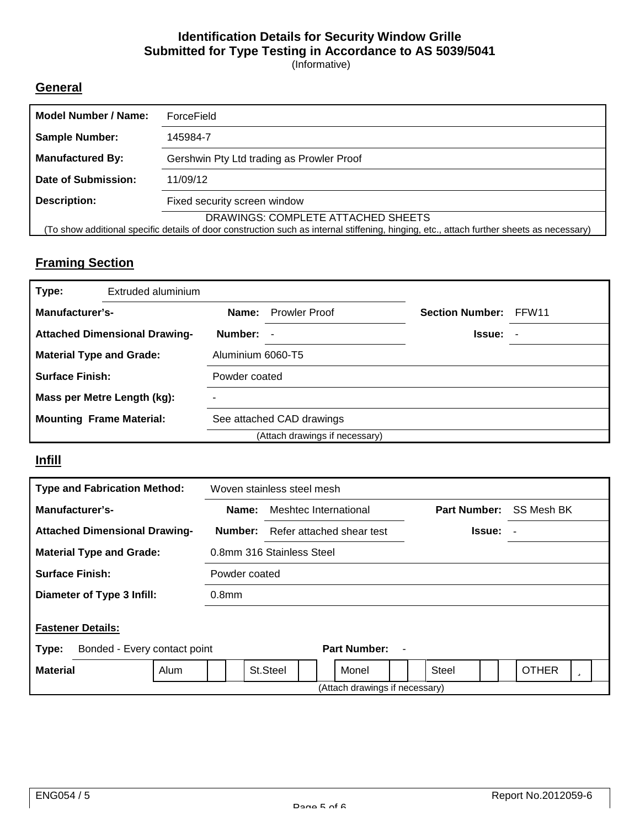### **Identification Details for Security Window Grille Submitted for Type Testing in Accordance to AS 5039/5041**

(Informative)

### **General**

| Model Number / Name:                                                                                                                                                            | ForceField                                |  |  |  |  |
|---------------------------------------------------------------------------------------------------------------------------------------------------------------------------------|-------------------------------------------|--|--|--|--|
| <b>Sample Number:</b>                                                                                                                                                           | 145984-7                                  |  |  |  |  |
| <b>Manufactured By:</b>                                                                                                                                                         | Gershwin Pty Ltd trading as Prowler Proof |  |  |  |  |
| Date of Submission:                                                                                                                                                             | 11/09/12                                  |  |  |  |  |
| Description:                                                                                                                                                                    | Fixed security screen window              |  |  |  |  |
| DRAWINGS: COMPLETE ATTACHED SHEETS<br>(To show additional specific details of door construction such as internal stiffening, hinging, etc., attach further sheets as necessary) |                                           |  |  |  |  |

### **Framing Section**

| Type:                           | Extruded aluminium                   |                   |                                |                        |       |
|---------------------------------|--------------------------------------|-------------------|--------------------------------|------------------------|-------|
| Manufacturer's-                 |                                      | Name:             | <b>Prowler Proof</b>           | <b>Section Number:</b> | FFW11 |
|                                 | <b>Attached Dimensional Drawing-</b> | Number:           | $\blacksquare$                 | <b>Issue:</b> -        |       |
| <b>Material Type and Grade:</b> |                                      | Aluminium 6060-T5 |                                |                        |       |
| <b>Surface Finish:</b>          |                                      | Powder coated     |                                |                        |       |
|                                 | Mass per Metre Length (kg):          |                   |                                |                        |       |
| <b>Mounting Frame Material:</b> |                                      |                   | See attached CAD drawings      |                        |       |
|                                 |                                      |                   | (Attach drawings if necessary) |                        |       |

### **Infill**

| <b>Type and Fabrication Method:</b>                               |                   | Woven stainless steel mesh |                           |  |                                |   |       |                     |  |               |              |   |  |  |
|-------------------------------------------------------------------|-------------------|----------------------------|---------------------------|--|--------------------------------|---|-------|---------------------|--|---------------|--------------|---|--|--|
| Manufacturer's-                                                   | Name:             |                            | Meshtec International     |  |                                |   |       | <b>Part Number:</b> |  |               | SS Mesh BK   |   |  |  |
| <b>Attached Dimensional Drawing-</b>                              | Number:           |                            | Refer attached shear test |  |                                |   |       |                     |  | <b>Issue:</b> |              |   |  |  |
| <b>Material Type and Grade:</b>                                   |                   | 0.8mm 316 Stainless Steel  |                           |  |                                |   |       |                     |  |               |              |   |  |  |
| <b>Surface Finish:</b>                                            |                   | Powder coated              |                           |  |                                |   |       |                     |  |               |              |   |  |  |
| Diameter of Type 3 Infill:                                        | 0.8 <sub>mm</sub> |                            |                           |  |                                |   |       |                     |  |               |              |   |  |  |
| <b>Fastener Details:</b><br>Bonded - Every contact point<br>Type: |                   |                            |                           |  | Part Number:                   | ٠ |       |                     |  |               |              |   |  |  |
| <b>Material</b><br>Alum                                           |                   | St.Steel                   |                           |  | Monel                          |   | Steel |                     |  |               | <b>OTHER</b> | u |  |  |
|                                                                   |                   |                            |                           |  | (Attach drawings if necessary) |   |       |                     |  |               |              |   |  |  |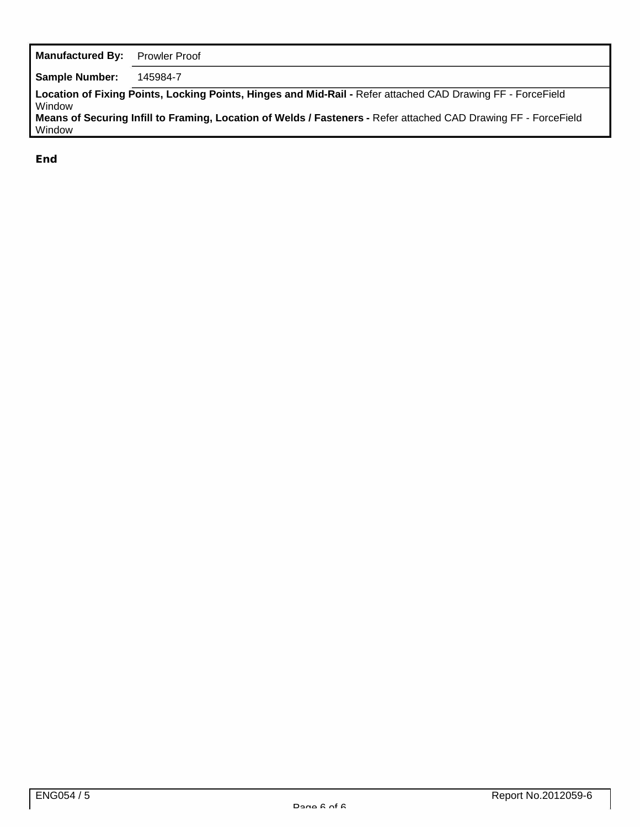| <b>Manufactured By:</b> | <b>Prowler Proof</b>                                                                                                                                                                                                           |
|-------------------------|--------------------------------------------------------------------------------------------------------------------------------------------------------------------------------------------------------------------------------|
| <b>Sample Number:</b>   | 145984-7                                                                                                                                                                                                                       |
| Window<br>Window        | Location of Fixing Points, Locking Points, Hinges and Mid-Rail - Refer attached CAD Drawing FF - ForceField<br>Means of Securing Infill to Framing, Location of Welds / Fasteners - Refer attached CAD Drawing FF - ForceField |
|                         |                                                                                                                                                                                                                                |

**End**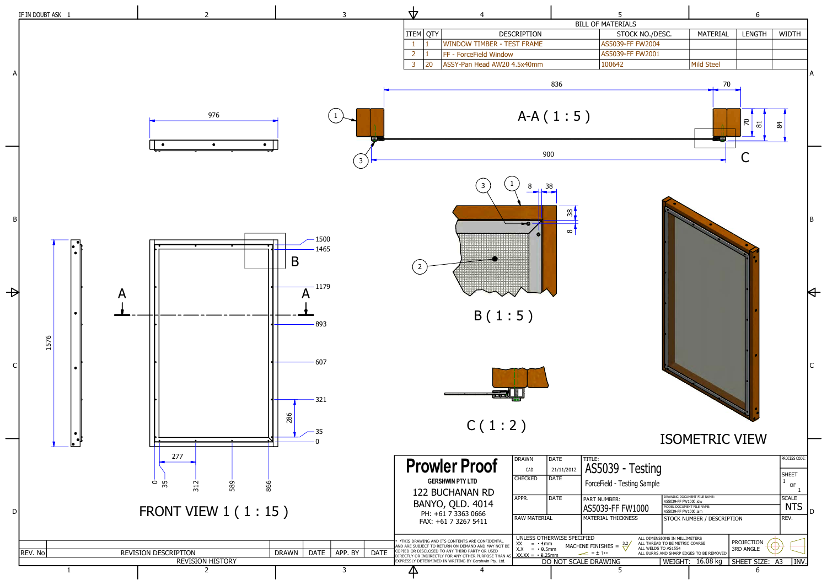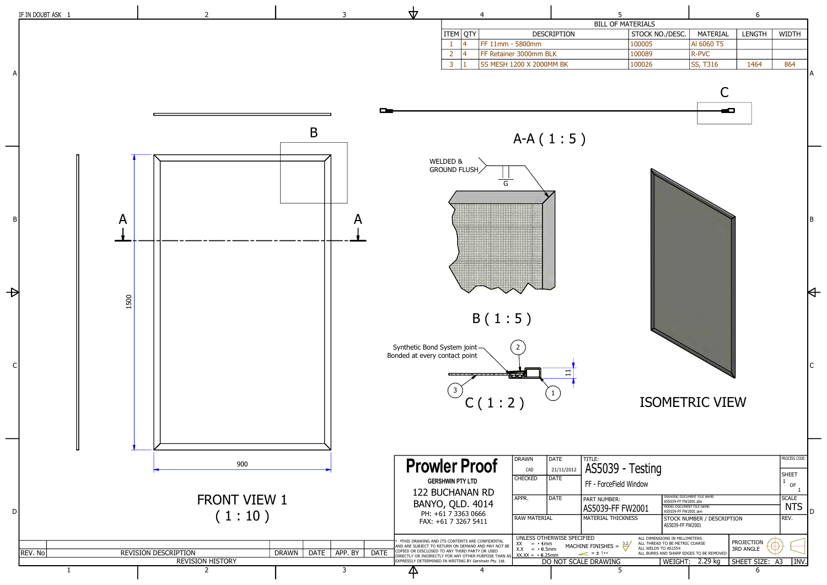

|                                                                                                                                          |                             | 6                              |                              |   |
|------------------------------------------------------------------------------------------------------------------------------------------|-----------------------------|--------------------------------|------------------------------|---|
| <b>ATERIALS</b>                                                                                                                          |                             |                                |                              |   |
| STOCK NO./DESC.                                                                                                                          | MATERIAL                    | <b>LENGTH</b>                  | <b>WIDTH</b>                 |   |
| 100005                                                                                                                                   | AI 6060 T5                  |                                |                              |   |
| 100089                                                                                                                                   | <b>R-PVC</b>                |                                |                              |   |
| 100026                                                                                                                                   | SS, T316                    | 1464                           | 864                          |   |
|                                                                                                                                          | С                           |                                |                              | А |
|                                                                                                                                          |                             |                                |                              | B |
| <b>ISOMETRIC VIEW</b>                                                                                                                    |                             |                                |                              | C |
|                                                                                                                                          |                             |                                |                              |   |
|                                                                                                                                          |                             |                                | PROCESS CODE:                |   |
| - Testing                                                                                                                                |                             |                                | <b>SHEET</b>                 |   |
| d Window                                                                                                                                 |                             |                                | 1<br>OF                      |   |
|                                                                                                                                          | DRAWING DOCUMENT FILE NAME: |                                | 1<br><b>SCALE</b>            |   |
| AS5039-FF FW2001.idw<br>MODEL DOCUMENT FILE NAME:<br>FW2001                                                                              |                             |                                | <b>NTS</b>                   |   |
| AS5039-FF FW2001.iam<br>KNESS                                                                                                            | STOCK NUMBER / DESCRIPTION  |                                | REV.                         | D |
| AS5039-FF FW2001                                                                                                                         |                             |                                |                              |   |
| ALL DIMENSIONS IN MILLIMETERS<br>ALL THREAD TO BE METRIC COARSE<br>3.2<br>ALL WELDS TO AS1554<br>ALL BURRS AND SHARP EDGES TO BE REMOVED |                             | PROJECTION<br><b>3RD ANGLE</b> |                              |   |
| WEIGHT:                                                                                                                                  | 2.29 kg                     | SHEET SIZE:                    | A <sub>3</sub><br><b>INV</b> |   |
|                                                                                                                                          |                             | 6                              |                              |   |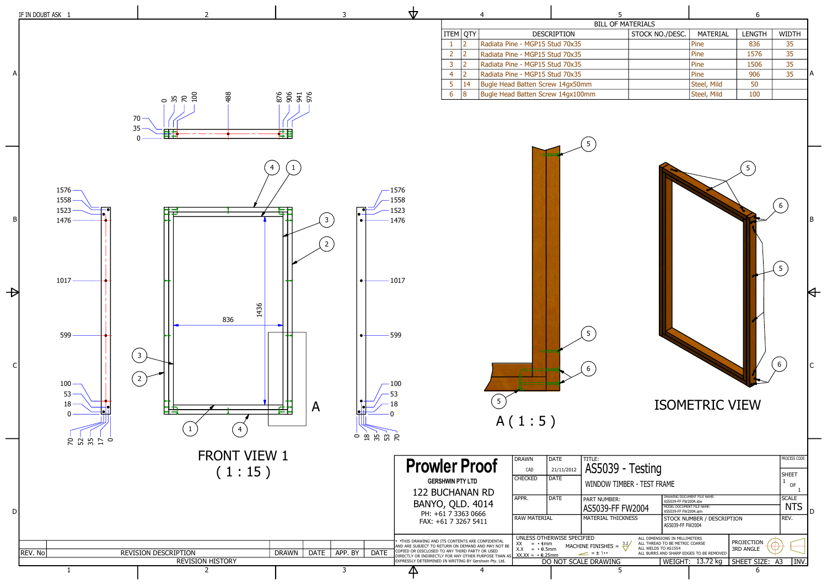

|                  | 6               |               |              |   |
|------------------|-----------------|---------------|--------------|---|
| <b>IATERIALS</b> |                 |               |              |   |
| STOCK NO./DESC.  | <b>MATERIAL</b> | <b>LENGTH</b> | <b>WIDTH</b> |   |
|                  | Pine            | 836           | 35           |   |
|                  | Pine            | 1576          | 35           |   |
|                  | Pine            | 1506          | 35           |   |
|                  | Pine            | 906           | 35           | А |
|                  | Steel, Mild     | 50            |              |   |
|                  | Steel, Mild     | 100           |              |   |
|                  |                 |               |              |   |

 $\blacksquare$ 

| - Testing                              | PROCESS CODE:<br><b>SHEET</b><br>iber - Test Frame<br>OF                            |                                                           |                                       |                                    |   |
|----------------------------------------|-------------------------------------------------------------------------------------|-----------------------------------------------------------|---------------------------------------|------------------------------------|---|
| FW2004<br>KNESS                        | AS5039-FF FW2004.idw<br>MODEL DOCUMENT FILE NAME:<br>AS5039-FF FW2004.jam           | DRAWING DOCUMENT FILE NAME:<br>STOCK NUMBER / DESCRIPTION |                                       | <b>SCALE</b><br><b>NTS</b><br>REV. | D |
| $\frac{3.2}{2}$<br>ALL WELDS TO AS1554 | AS5039-FF FW2004<br>ALL DIMENSIONS IN MILLIMETERS<br>ALL THREAD TO BE METRIC COARSE | ALL BURRS AND SHARP EDGES TO BE REMOVED                   | <b>PROJECTION</b><br><b>3RD ANGLE</b> |                                    |   |
|                                        |                                                                                     | WEIGHT: 13.72 kg                                          | SHEET SIZE: A3<br>6                   |                                    |   |

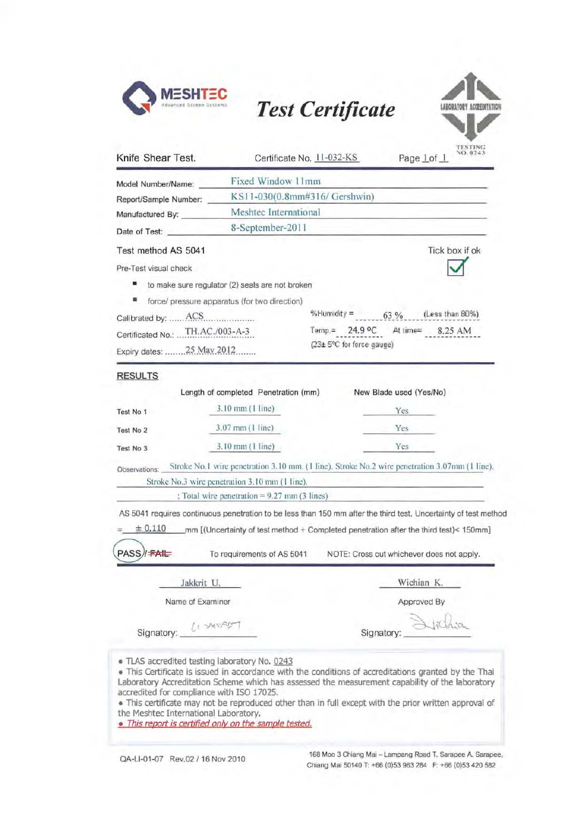

# **MESHTEC**<br>Test Certificate



| Certificate No. 11-032-KS                              |                                                              | NO. 0243<br>Page Lof 1                                                                                                                                                                                                                                                                                                                                                                                                                                                                                                                                                                  |  |
|--------------------------------------------------------|--------------------------------------------------------------|-----------------------------------------------------------------------------------------------------------------------------------------------------------------------------------------------------------------------------------------------------------------------------------------------------------------------------------------------------------------------------------------------------------------------------------------------------------------------------------------------------------------------------------------------------------------------------------------|--|
|                                                        |                                                              |                                                                                                                                                                                                                                                                                                                                                                                                                                                                                                                                                                                         |  |
| KS11-030(0.8mm#316/ Gershwin)<br>Meshtec International |                                                              |                                                                                                                                                                                                                                                                                                                                                                                                                                                                                                                                                                                         |  |
|                                                        |                                                              |                                                                                                                                                                                                                                                                                                                                                                                                                                                                                                                                                                                         |  |
|                                                        |                                                              | Tick box if ok                                                                                                                                                                                                                                                                                                                                                                                                                                                                                                                                                                          |  |
|                                                        |                                                              |                                                                                                                                                                                                                                                                                                                                                                                                                                                                                                                                                                                         |  |
|                                                        |                                                              |                                                                                                                                                                                                                                                                                                                                                                                                                                                                                                                                                                                         |  |
| force/ pressure apparatus (for two direction)          |                                                              |                                                                                                                                                                                                                                                                                                                                                                                                                                                                                                                                                                                         |  |
|                                                        |                                                              | %Humidity = $63\%$ (Less than 80%)                                                                                                                                                                                                                                                                                                                                                                                                                                                                                                                                                      |  |
| Certificated No.: TH.AC./003-A-3                       | Temp.= 24.9 °C At time= 8.25 AM<br>(23± 5°C for force gauge) |                                                                                                                                                                                                                                                                                                                                                                                                                                                                                                                                                                                         |  |
| Expiry dates:  25 May 2012                             |                                                              |                                                                                                                                                                                                                                                                                                                                                                                                                                                                                                                                                                                         |  |
| 3.07 mm (1 line)<br>3.10 mm (1 line)                   |                                                              | Yes<br>Yes                                                                                                                                                                                                                                                                                                                                                                                                                                                                                                                                                                              |  |
|                                                        |                                                              |                                                                                                                                                                                                                                                                                                                                                                                                                                                                                                                                                                                         |  |
|                                                        |                                                              | NOTE: Cross out whichever does not apply.                                                                                                                                                                                                                                                                                                                                                                                                                                                                                                                                               |  |
| Jakkrit U.                                             |                                                              |                                                                                                                                                                                                                                                                                                                                                                                                                                                                                                                                                                                         |  |
|                                                        |                                                              | Wichian K.                                                                                                                                                                                                                                                                                                                                                                                                                                                                                                                                                                              |  |
| Name of Examiner                                       |                                                              | Approved By                                                                                                                                                                                                                                                                                                                                                                                                                                                                                                                                                                             |  |
|                                                        | $3.10 \text{ mm} (1 \text{ line})$                           | Fixed Window 11mm<br>to make sure regulator (2) seals are not broken<br>Length of completed Penetration (mm)<br>New Blade used (Yes/No)<br>Stroke No.1 wire penetration 3.10 mm. (1 line). Stroke No.2 wire penetration 3.07mm (1 line).<br>Stroke No.3 wire penetration 3.10 mm (1 line).<br>: Total wire penetration = $9.27$ mm (3 lines)<br>AS 5041 requires continuous penetration to be less than 150 mm after the third test. Uncertainty of test method<br>_mm [(Uncertainty of test method + Completed penetration after the third test)< 150mm]<br>To requirements of AS 5041 |  |

• This certificate may not be reproduced other than in full except with the prior written approval of the Meshtec International Laboratory.

**• This report is certified only on the sample tested.** 

accredited for compliance with ISO 17025.

QA-LI-01-07 Rev.02 / 16 Nov 2010 168 Moo 3 Chiang Mai - Lampang Road T. Sarapee A. Sarapee. Chiang Mai 50140 T: +66 (0)53 963 284 F: +66 (0)53 420 582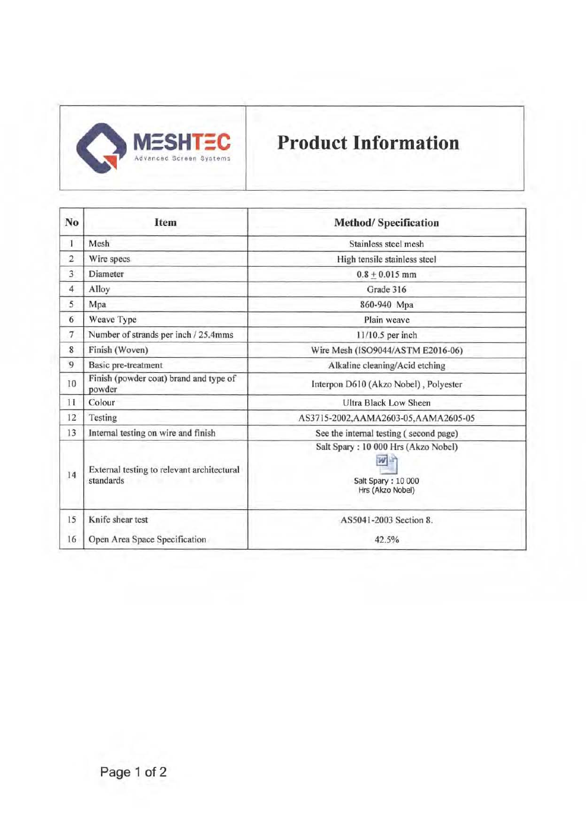

# Product Information

| No             | Item                                                    | <b>Method/Specification</b>                                                   |
|----------------|---------------------------------------------------------|-------------------------------------------------------------------------------|
| 1              | Mesh                                                    | Stainless steel mesh                                                          |
| $\overline{2}$ | Wire specs                                              | High tensile stainless steel                                                  |
| 3              | Diameter                                                | $0.8 + 0.015$ mm                                                              |
| 4              | Alloy                                                   | Grade 316                                                                     |
| 5              | Mpa                                                     | 860-940 Mpa                                                                   |
| 6              | Weave Type                                              | Plain weave                                                                   |
| 7              | Number of strands per inch / 25.4mms                    | 11/10.5 per inch                                                              |
| 8              | Finish (Woven)                                          | Wire Mesh (ISO9044/ASTM E2016-06)                                             |
| 9              | Basic pre-treatment                                     | Alkaline cleaning/Acid etching                                                |
| 10             | Finish (powder coat) brand and type of<br>powder        | Interpon D610 (Akzo Nobel), Polyester                                         |
| 11             | Colour                                                  | Ultra Black Low Sheen                                                         |
| 12             | Testing                                                 | AS3715-2002, AAMA2603-05, AAMA2605-05                                         |
| 13             | Internal testing on wire and finish                     | See the internal testing (second page)                                        |
| 14             | External testing to relevant architectural<br>standards | Salt Spary: 10 000 Hrs (Akzo Nobel)<br>Salt Spary: 10 000<br>Hrs (Akzo Nobel) |
| 15             | Knife shear test                                        | AS5041-2003 Section 8.                                                        |
| 16             | Open Area Space Specification                           | 42.5%                                                                         |